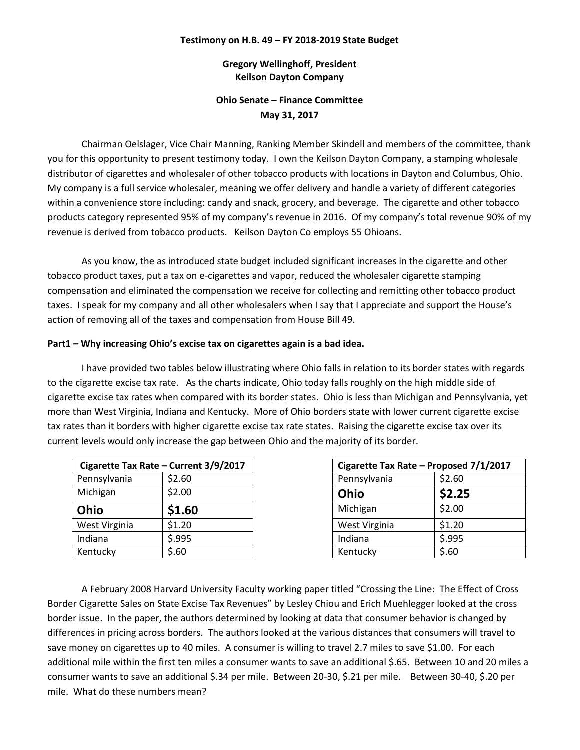### **Testimony on H.B. 49 – FY 2018-2019 State Budget**

**Gregory Wellinghoff, President Keilson Dayton Company**

# **Ohio Senate – Finance Committee May 31, 2017**

Chairman Oelslager, Vice Chair Manning, Ranking Member Skindell and members of the committee, thank you for this opportunity to present testimony today. I own the Keilson Dayton Company, a stamping wholesale distributor of cigarettes and wholesaler of other tobacco products with locations in Dayton and Columbus, Ohio. My company is a full service wholesaler, meaning we offer delivery and handle a variety of different categories within a convenience store including: candy and snack, grocery, and beverage. The cigarette and other tobacco products category represented 95% of my company's revenue in 2016. Of my company's total revenue 90% of my revenue is derived from tobacco products. Keilson Dayton Co employs 55 Ohioans.

As you know, the as introduced state budget included significant increases in the cigarette and other tobacco product taxes, put a tax on e-cigarettes and vapor, reduced the wholesaler cigarette stamping compensation and eliminated the compensation we receive for collecting and remitting other tobacco product taxes. I speak for my company and all other wholesalers when I say that I appreciate and support the House's action of removing all of the taxes and compensation from House Bill 49.

### **Part1 – Why increasing Ohio's excise tax on cigarettes again is a bad idea.**

I have provided two tables below illustrating where Ohio falls in relation to its border states with regards to the cigarette excise tax rate. As the charts indicate, Ohio today falls roughly on the high middle side of cigarette excise tax rates when compared with its border states. Ohio is less than Michigan and Pennsylvania, yet more than West Virginia, Indiana and Kentucky. More of Ohio borders state with lower current cigarette excise tax rates than it borders with higher cigarette excise tax rate states. Raising the cigarette excise tax over its current levels would only increase the gap between Ohio and the majority of its border.

|               | Cigarette Tax Rate - Current 3/9/2017 | Cigarette Tax Rate - Proposed |        |
|---------------|---------------------------------------|-------------------------------|--------|
| Pennsylvania  | \$2.60                                | Pennsylvania                  | \$2.60 |
| Michigan      | \$2.00                                | Ohio                          | \$2.25 |
| Ohio          | \$1.60                                | Michigan                      | \$2.00 |
| West Virginia | \$1.20                                | West Virginia                 | \$1.20 |
| Indiana       | \$.995                                | Indiana                       | \$.995 |
| Kentucky      | \$.60                                 | Kentucky                      | \$.60  |

|                      | Cigarette Tax Rate - Current 3/9/2017 |               | Cigarette Tax Rate - Proposed 7/1/2017 |
|----------------------|---------------------------------------|---------------|----------------------------------------|
| Pennsylvania         | \$2.60                                | Pennsylvania  | \$2.60                                 |
| <b>Michigan</b>      | \$2.00                                | Ohio          | \$2.25                                 |
| <b>Ohio</b>          | \$1.60                                | Michigan      | \$2.00                                 |
| <b>Nest Virginia</b> | \$1.20                                | West Virginia | \$1.20                                 |
| ndiana               | 5.995                                 | Indiana       | 5.995                                  |
| <b>Centucky</b>      | \$.60                                 | Kentucky      | \$.60                                  |

A February 2008 Harvard University Faculty working paper titled "Crossing the Line: The Effect of Cross Border Cigarette Sales on State Excise Tax Revenues" by Lesley Chiou and Erich Muehlegger looked at the cross border issue. In the paper, the authors determined by looking at data that consumer behavior is changed by differences in pricing across borders. The authors looked at the various distances that consumers will travel to save money on cigarettes up to 40 miles. A consumer is willing to travel 2.7 miles to save \$1.00. For each additional mile within the first ten miles a consumer wants to save an additional \$.65. Between 10 and 20 miles a consumer wants to save an additional \$.34 per mile. Between 20-30, \$.21 per mile. Between 30-40, \$.20 per mile. What do these numbers mean?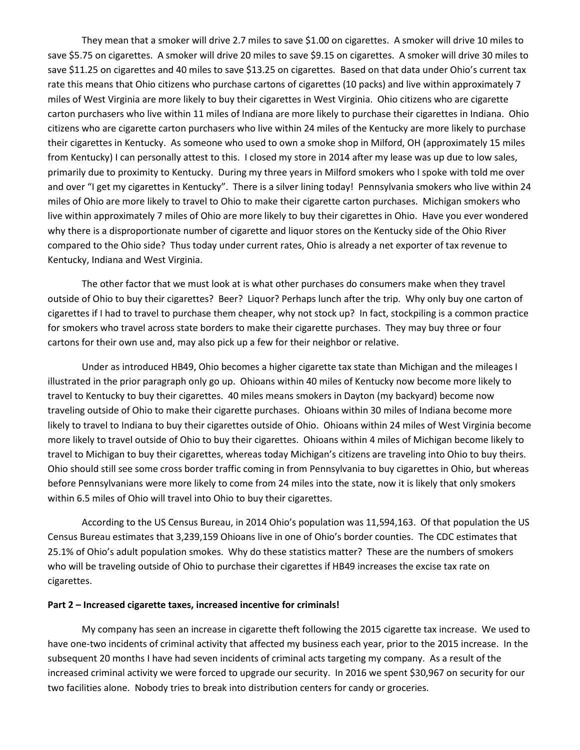They mean that a smoker will drive 2.7 miles to save \$1.00 on cigarettes. A smoker will drive 10 miles to save \$5.75 on cigarettes. A smoker will drive 20 miles to save \$9.15 on cigarettes. A smoker will drive 30 miles to save \$11.25 on cigarettes and 40 miles to save \$13.25 on cigarettes. Based on that data under Ohio's current tax rate this means that Ohio citizens who purchase cartons of cigarettes (10 packs) and live within approximately 7 miles of West Virginia are more likely to buy their cigarettes in West Virginia. Ohio citizens who are cigarette carton purchasers who live within 11 miles of Indiana are more likely to purchase their cigarettes in Indiana. Ohio citizens who are cigarette carton purchasers who live within 24 miles of the Kentucky are more likely to purchase their cigarettes in Kentucky. As someone who used to own a smoke shop in Milford, OH (approximately 15 miles from Kentucky) I can personally attest to this. I closed my store in 2014 after my lease was up due to low sales, primarily due to proximity to Kentucky. During my three years in Milford smokers who I spoke with told me over and over "I get my cigarettes in Kentucky". There is a silver lining today! Pennsylvania smokers who live within 24 miles of Ohio are more likely to travel to Ohio to make their cigarette carton purchases. Michigan smokers who live within approximately 7 miles of Ohio are more likely to buy their cigarettes in Ohio. Have you ever wondered why there is a disproportionate number of cigarette and liquor stores on the Kentucky side of the Ohio River compared to the Ohio side? Thus today under current rates, Ohio is already a net exporter of tax revenue to Kentucky, Indiana and West Virginia.

The other factor that we must look at is what other purchases do consumers make when they travel outside of Ohio to buy their cigarettes? Beer? Liquor? Perhaps lunch after the trip. Why only buy one carton of cigarettes if I had to travel to purchase them cheaper, why not stock up? In fact, stockpiling is a common practice for smokers who travel across state borders to make their cigarette purchases. They may buy three or four cartons for their own use and, may also pick up a few for their neighbor or relative.

Under as introduced HB49, Ohio becomes a higher cigarette tax state than Michigan and the mileages I illustrated in the prior paragraph only go up. Ohioans within 40 miles of Kentucky now become more likely to travel to Kentucky to buy their cigarettes. 40 miles means smokers in Dayton (my backyard) become now traveling outside of Ohio to make their cigarette purchases. Ohioans within 30 miles of Indiana become more likely to travel to Indiana to buy their cigarettes outside of Ohio. Ohioans within 24 miles of West Virginia become more likely to travel outside of Ohio to buy their cigarettes. Ohioans within 4 miles of Michigan become likely to travel to Michigan to buy their cigarettes, whereas today Michigan's citizens are traveling into Ohio to buy theirs. Ohio should still see some cross border traffic coming in from Pennsylvania to buy cigarettes in Ohio, but whereas before Pennsylvanians were more likely to come from 24 miles into the state, now it is likely that only smokers within 6.5 miles of Ohio will travel into Ohio to buy their cigarettes.

According to the US Census Bureau, in 2014 Ohio's population was 11,594,163. Of that population the US Census Bureau estimates that 3,239,159 Ohioans live in one of Ohio's border counties. The CDC estimates that 25.1% of Ohio's adult population smokes. Why do these statistics matter? These are the numbers of smokers who will be traveling outside of Ohio to purchase their cigarettes if HB49 increases the excise tax rate on cigarettes.

### **Part 2 – Increased cigarette taxes, increased incentive for criminals!**

My company has seen an increase in cigarette theft following the 2015 cigarette tax increase. We used to have one-two incidents of criminal activity that affected my business each year, prior to the 2015 increase. In the subsequent 20 months I have had seven incidents of criminal acts targeting my company. As a result of the increased criminal activity we were forced to upgrade our security. In 2016 we spent \$30,967 on security for our two facilities alone. Nobody tries to break into distribution centers for candy or groceries.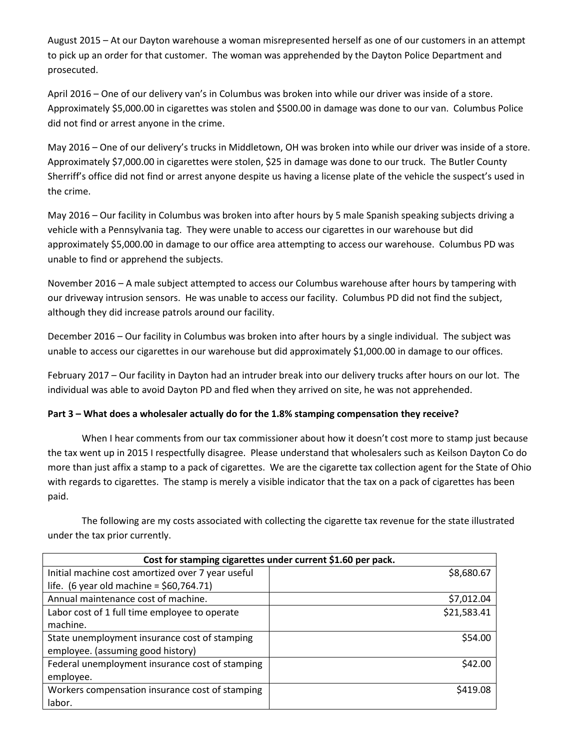August 2015 – At our Dayton warehouse a woman misrepresented herself as one of our customers in an attempt to pick up an order for that customer. The woman was apprehended by the Dayton Police Department and prosecuted.

April 2016 – One of our delivery van's in Columbus was broken into while our driver was inside of a store. Approximately \$5,000.00 in cigarettes was stolen and \$500.00 in damage was done to our van. Columbus Police did not find or arrest anyone in the crime.

May 2016 – One of our delivery's trucks in Middletown, OH was broken into while our driver was inside of a store. Approximately \$7,000.00 in cigarettes were stolen, \$25 in damage was done to our truck. The Butler County Sherriff's office did not find or arrest anyone despite us having a license plate of the vehicle the suspect's used in the crime.

May 2016 – Our facility in Columbus was broken into after hours by 5 male Spanish speaking subjects driving a vehicle with a Pennsylvania tag. They were unable to access our cigarettes in our warehouse but did approximately \$5,000.00 in damage to our office area attempting to access our warehouse. Columbus PD was unable to find or apprehend the subjects.

November 2016 – A male subject attempted to access our Columbus warehouse after hours by tampering with our driveway intrusion sensors. He was unable to access our facility. Columbus PD did not find the subject, although they did increase patrols around our facility.

December 2016 – Our facility in Columbus was broken into after hours by a single individual. The subject was unable to access our cigarettes in our warehouse but did approximately \$1,000.00 in damage to our offices.

February 2017 – Our facility in Dayton had an intruder break into our delivery trucks after hours on our lot. The individual was able to avoid Dayton PD and fled when they arrived on site, he was not apprehended.

## **Part 3 – What does a wholesaler actually do for the 1.8% stamping compensation they receive?**

When I hear comments from our tax commissioner about how it doesn't cost more to stamp just because the tax went up in 2015 I respectfully disagree. Please understand that wholesalers such as Keilson Dayton Co do more than just affix a stamp to a pack of cigarettes. We are the cigarette tax collection agent for the State of Ohio with regards to cigarettes. The stamp is merely a visible indicator that the tax on a pack of cigarettes has been paid.

The following are my costs associated with collecting the cigarette tax revenue for the state illustrated under the tax prior currently.

| Cost for stamping cigarettes under current \$1.60 per pack. |             |  |
|-------------------------------------------------------------|-------------|--|
| Initial machine cost amortized over 7 year useful           | \$8,680.67  |  |
| life. (6 year old machine = $$60,764.71$ )                  |             |  |
| Annual maintenance cost of machine.                         | \$7,012.04  |  |
| Labor cost of 1 full time employee to operate               | \$21,583.41 |  |
| machine.                                                    |             |  |
| State unemployment insurance cost of stamping               | \$54.00     |  |
| employee. (assuming good history)                           |             |  |
| Federal unemployment insurance cost of stamping             | \$42.00     |  |
| employee.                                                   |             |  |
| Workers compensation insurance cost of stamping             | \$419.08    |  |
| labor.                                                      |             |  |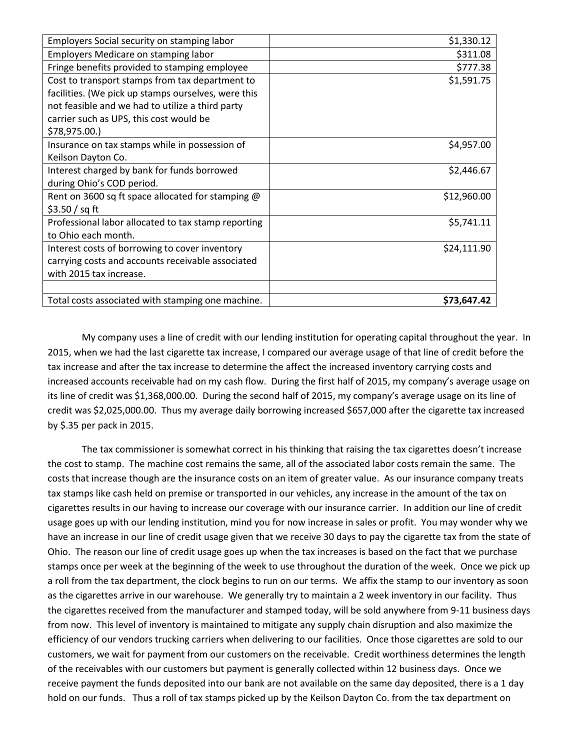| Employers Social security on stamping labor         | \$1,330.12  |
|-----------------------------------------------------|-------------|
| Employers Medicare on stamping labor                | \$311.08    |
| Fringe benefits provided to stamping employee       | \$777.38    |
| Cost to transport stamps from tax department to     | \$1,591.75  |
| facilities. (We pick up stamps ourselves, were this |             |
| not feasible and we had to utilize a third party    |             |
| carrier such as UPS, this cost would be             |             |
| \$78,975.00.)                                       |             |
| Insurance on tax stamps while in possession of      | \$4,957.00  |
| Keilson Dayton Co.                                  |             |
| Interest charged by bank for funds borrowed         | \$2,446.67  |
| during Ohio's COD period.                           |             |
| Rent on 3600 sq ft space allocated for stamping @   | \$12,960.00 |
| \$3.50 / sq ft                                      |             |
| Professional labor allocated to tax stamp reporting | \$5,741.11  |
| to Ohio each month.                                 |             |
| Interest costs of borrowing to cover inventory      | \$24,111.90 |
| carrying costs and accounts receivable associated   |             |
| with 2015 tax increase.                             |             |
|                                                     |             |
| Total costs associated with stamping one machine.   | \$73,647.42 |

My company uses a line of credit with our lending institution for operating capital throughout the year. In 2015, when we had the last cigarette tax increase, I compared our average usage of that line of credit before the tax increase and after the tax increase to determine the affect the increased inventory carrying costs and increased accounts receivable had on my cash flow. During the first half of 2015, my company's average usage on its line of credit was \$1,368,000.00. During the second half of 2015, my company's average usage on its line of credit was \$2,025,000.00. Thus my average daily borrowing increased \$657,000 after the cigarette tax increased by \$.35 per pack in 2015.

The tax commissioner is somewhat correct in his thinking that raising the tax cigarettes doesn't increase the cost to stamp. The machine cost remains the same, all of the associated labor costs remain the same. The costs that increase though are the insurance costs on an item of greater value. As our insurance company treats tax stamps like cash held on premise or transported in our vehicles, any increase in the amount of the tax on cigarettes results in our having to increase our coverage with our insurance carrier. In addition our line of credit usage goes up with our lending institution, mind you for now increase in sales or profit. You may wonder why we have an increase in our line of credit usage given that we receive 30 days to pay the cigarette tax from the state of Ohio. The reason our line of credit usage goes up when the tax increases is based on the fact that we purchase stamps once per week at the beginning of the week to use throughout the duration of the week. Once we pick up a roll from the tax department, the clock begins to run on our terms. We affix the stamp to our inventory as soon as the cigarettes arrive in our warehouse. We generally try to maintain a 2 week inventory in our facility. Thus the cigarettes received from the manufacturer and stamped today, will be sold anywhere from 9-11 business days from now. This level of inventory is maintained to mitigate any supply chain disruption and also maximize the efficiency of our vendors trucking carriers when delivering to our facilities. Once those cigarettes are sold to our customers, we wait for payment from our customers on the receivable. Credit worthiness determines the length of the receivables with our customers but payment is generally collected within 12 business days. Once we receive payment the funds deposited into our bank are not available on the same day deposited, there is a 1 day hold on our funds. Thus a roll of tax stamps picked up by the Keilson Dayton Co. from the tax department on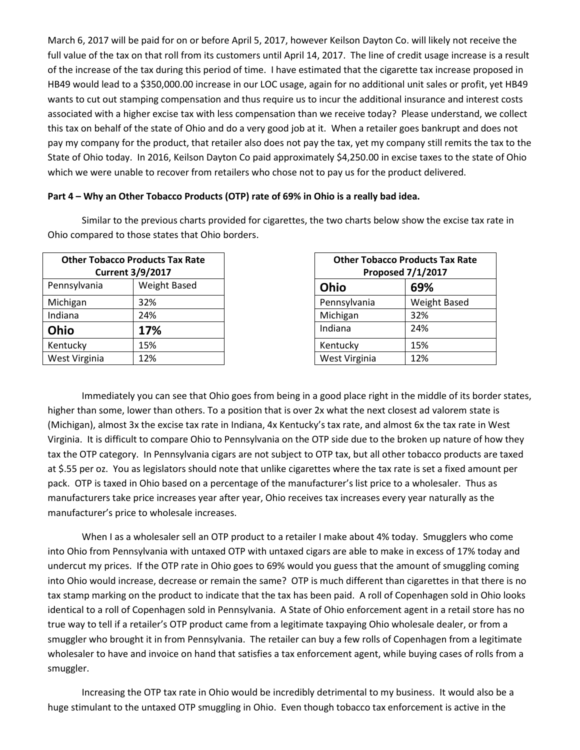March 6, 2017 will be paid for on or before April 5, 2017, however Keilson Dayton Co. will likely not receive the full value of the tax on that roll from its customers until April 14, 2017. The line of credit usage increase is a result of the increase of the tax during this period of time. I have estimated that the cigarette tax increase proposed in HB49 would lead to a \$350,000.00 increase in our LOC usage, again for no additional unit sales or profit, yet HB49 wants to cut out stamping compensation and thus require us to incur the additional insurance and interest costs associated with a higher excise tax with less compensation than we receive today? Please understand, we collect this tax on behalf of the state of Ohio and do a very good job at it. When a retailer goes bankrupt and does not pay my company for the product, that retailer also does not pay the tax, yet my company still remits the tax to the State of Ohio today. In 2016, Keilson Dayton Co paid approximately \$4,250.00 in excise taxes to the state of Ohio which we were unable to recover from retailers who chose not to pay us for the product delivered.

### **Part 4 – Why an Other Tobacco Products (OTP) rate of 69% in Ohio is a really bad idea.**

Similar to the previous charts provided for cigarettes, the two charts below show the excise tax rate in Ohio compared to those states that Ohio borders.

|               | <b>Other Tobacco Products Tax Rate</b><br><b>Current 3/9/2017</b> |               | <b>Other Tobacco Products Tax Ra</b><br><b>Proposed 7/1/2017</b> |
|---------------|-------------------------------------------------------------------|---------------|------------------------------------------------------------------|
| Pennsylvania  | Weight Based                                                      | Ohio          | 69%                                                              |
| Michigan      | 32%                                                               | Pennsylvania  | <b>Weight Based</b>                                              |
| Indiana       | 24%                                                               | Michigan      | 32%                                                              |
| Ohio          | 17%                                                               | Indiana       | 24%                                                              |
| Kentucky      | 15%                                                               | Kentucky      | 15%                                                              |
| West Virginia | 12%                                                               | West Virginia | 12%                                                              |

| <b>Other Tobacco Products Tax Rate</b><br><b>Proposed 7/1/2017</b> |                     |  |
|--------------------------------------------------------------------|---------------------|--|
| Ohio                                                               | 69%                 |  |
| Pennsylvania                                                       | <b>Weight Based</b> |  |
| Michigan                                                           | 32%                 |  |
| Indiana                                                            | 24%                 |  |
| Kentucky                                                           | 15%                 |  |
| West Virginia                                                      | 12%                 |  |

Immediately you can see that Ohio goes from being in a good place right in the middle of its border states, higher than some, lower than others. To a position that is over 2x what the next closest ad valorem state is (Michigan), almost 3x the excise tax rate in Indiana, 4x Kentucky's tax rate, and almost 6x the tax rate in West Virginia. It is difficult to compare Ohio to Pennsylvania on the OTP side due to the broken up nature of how they tax the OTP category. In Pennsylvania cigars are not subject to OTP tax, but all other tobacco products are taxed at \$.55 per oz. You as legislators should note that unlike cigarettes where the tax rate is set a fixed amount per pack. OTP is taxed in Ohio based on a percentage of the manufacturer's list price to a wholesaler. Thus as manufacturers take price increases year after year, Ohio receives tax increases every year naturally as the manufacturer's price to wholesale increases.

When I as a wholesaler sell an OTP product to a retailer I make about 4% today. Smugglers who come into Ohio from Pennsylvania with untaxed OTP with untaxed cigars are able to make in excess of 17% today and undercut my prices. If the OTP rate in Ohio goes to 69% would you guess that the amount of smuggling coming into Ohio would increase, decrease or remain the same? OTP is much different than cigarettes in that there is no tax stamp marking on the product to indicate that the tax has been paid. A roll of Copenhagen sold in Ohio looks identical to a roll of Copenhagen sold in Pennsylvania. A State of Ohio enforcement agent in a retail store has no true way to tell if a retailer's OTP product came from a legitimate taxpaying Ohio wholesale dealer, or from a smuggler who brought it in from Pennsylvania. The retailer can buy a few rolls of Copenhagen from a legitimate wholesaler to have and invoice on hand that satisfies a tax enforcement agent, while buying cases of rolls from a smuggler.

Increasing the OTP tax rate in Ohio would be incredibly detrimental to my business. It would also be a huge stimulant to the untaxed OTP smuggling in Ohio. Even though tobacco tax enforcement is active in the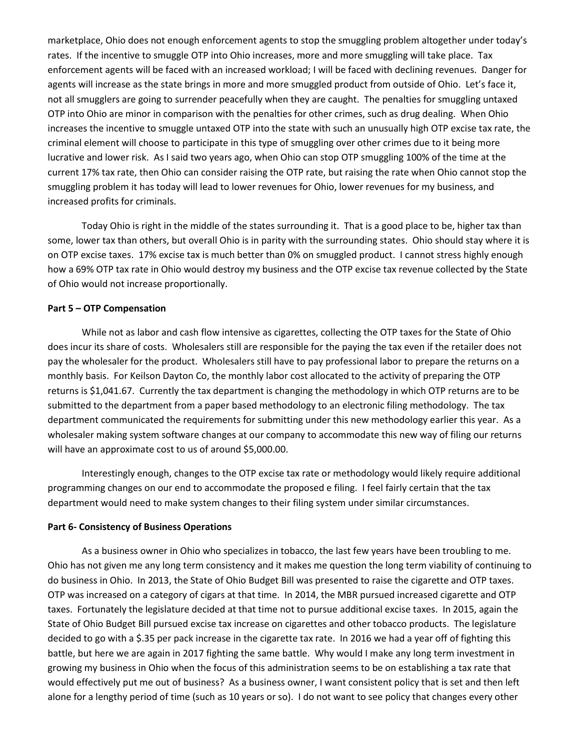marketplace, Ohio does not enough enforcement agents to stop the smuggling problem altogether under today's rates. If the incentive to smuggle OTP into Ohio increases, more and more smuggling will take place. Tax enforcement agents will be faced with an increased workload; I will be faced with declining revenues. Danger for agents will increase as the state brings in more and more smuggled product from outside of Ohio. Let's face it, not all smugglers are going to surrender peacefully when they are caught. The penalties for smuggling untaxed OTP into Ohio are minor in comparison with the penalties for other crimes, such as drug dealing. When Ohio increases the incentive to smuggle untaxed OTP into the state with such an unusually high OTP excise tax rate, the criminal element will choose to participate in this type of smuggling over other crimes due to it being more lucrative and lower risk. As I said two years ago, when Ohio can stop OTP smuggling 100% of the time at the current 17% tax rate, then Ohio can consider raising the OTP rate, but raising the rate when Ohio cannot stop the smuggling problem it has today will lead to lower revenues for Ohio, lower revenues for my business, and increased profits for criminals.

Today Ohio is right in the middle of the states surrounding it. That is a good place to be, higher tax than some, lower tax than others, but overall Ohio is in parity with the surrounding states. Ohio should stay where it is on OTP excise taxes. 17% excise tax is much better than 0% on smuggled product. I cannot stress highly enough how a 69% OTP tax rate in Ohio would destroy my business and the OTP excise tax revenue collected by the State of Ohio would not increase proportionally.

### **Part 5 – OTP Compensation**

While not as labor and cash flow intensive as cigarettes, collecting the OTP taxes for the State of Ohio does incur its share of costs. Wholesalers still are responsible for the paying the tax even if the retailer does not pay the wholesaler for the product. Wholesalers still have to pay professional labor to prepare the returns on a monthly basis. For Keilson Dayton Co, the monthly labor cost allocated to the activity of preparing the OTP returns is \$1,041.67. Currently the tax department is changing the methodology in which OTP returns are to be submitted to the department from a paper based methodology to an electronic filing methodology. The tax department communicated the requirements for submitting under this new methodology earlier this year. As a wholesaler making system software changes at our company to accommodate this new way of filing our returns will have an approximate cost to us of around \$5,000.00.

Interestingly enough, changes to the OTP excise tax rate or methodology would likely require additional programming changes on our end to accommodate the proposed e filing. I feel fairly certain that the tax department would need to make system changes to their filing system under similar circumstances.

#### **Part 6- Consistency of Business Operations**

As a business owner in Ohio who specializes in tobacco, the last few years have been troubling to me. Ohio has not given me any long term consistency and it makes me question the long term viability of continuing to do business in Ohio. In 2013, the State of Ohio Budget Bill was presented to raise the cigarette and OTP taxes. OTP was increased on a category of cigars at that time. In 2014, the MBR pursued increased cigarette and OTP taxes. Fortunately the legislature decided at that time not to pursue additional excise taxes. In 2015, again the State of Ohio Budget Bill pursued excise tax increase on cigarettes and other tobacco products. The legislature decided to go with a \$.35 per pack increase in the cigarette tax rate. In 2016 we had a year off of fighting this battle, but here we are again in 2017 fighting the same battle. Why would I make any long term investment in growing my business in Ohio when the focus of this administration seems to be on establishing a tax rate that would effectively put me out of business? As a business owner, I want consistent policy that is set and then left alone for a lengthy period of time (such as 10 years or so). I do not want to see policy that changes every other